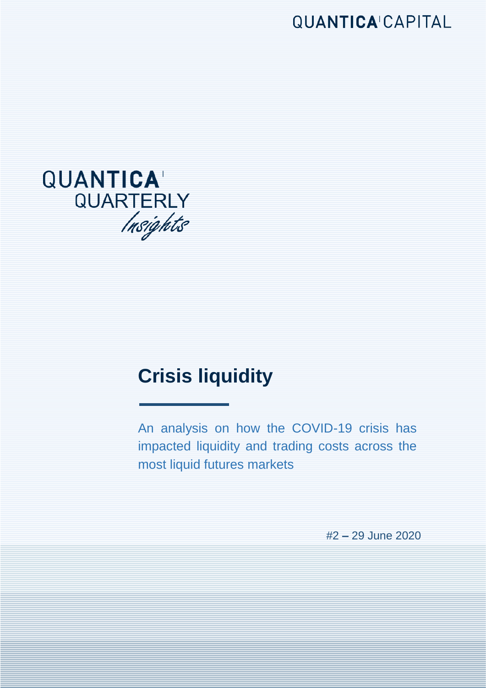**QUANTICA CAPITAL** 



# **Crisis liquidity**

An analysis on how the COVID-19 crisis has impacted liquidity and trading costs across the most liquid futures markets

where  $\alpha$  is not necessarily indicative of  $\alpha$ 

#2 **–** 29 June 2020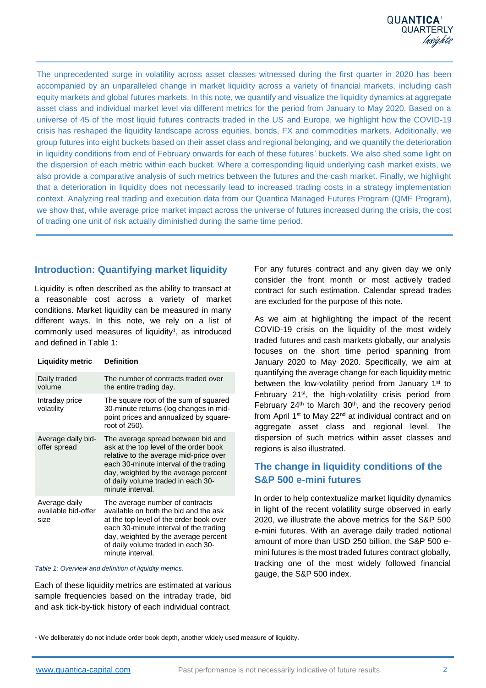The unprecedented surge in volatility across asset classes witnessed during the first quarter in 2020 has been accompanied by an unparalleled change in market liquidity across a variety of financial markets, including cash equity markets and global futures markets. In this note, we quantify and visualize the liquidity dynamics at aggregate asset class and individual market level via different metrics for the period from January to May 2020. Based on a universe of 45 of the most liquid futures contracts traded in the US and Europe, we highlight how the COVID-19 crisis has reshaped the liquidity landscape across equities, bonds, FX and commodities markets. Additionally, we group futures into eight buckets based on their asset class and regional belonging, and we quantify the deterioration in liquidity conditions from end of February onwards for each of these futures' buckets. We also shed some light on the dispersion of each metric within each bucket. Where a corresponding liquid underlying cash market exists, we also provide a comparative analysis of such metrics between the futures and the cash market. Finally, we highlight that a deterioration in liquidity does not necessarily lead to increased trading costs in a strategy implementation context. Analyzing real trading and execution data from our Quantica Managed Futures Program (QMF Program), we show that, while average price market impact across the universe of futures increased during the crisis, the cost of trading one unit of risk actually diminished during the same time period.

#### **Introduction: Quantifying market liquidity**

Liquidity is often described as the ability to transact at a reasonable cost across a variety of market conditions. Market liquidity can be measured in many different ways. In this note, we rely on a list of commonly used measures of liquidity<sup>1</sup>, as introduced and defined in Table 1:

**Liquidity metric Definition**

| Daily traded<br>volume                       | The number of contracts traded over<br>the entire trading day.                                                                                                                                                                                                     |
|----------------------------------------------|--------------------------------------------------------------------------------------------------------------------------------------------------------------------------------------------------------------------------------------------------------------------|
| Intraday price<br>volatility                 | The square root of the sum of squared<br>30-minute returns (log changes in mid-<br>point prices and annualized by square-<br>root of 250).                                                                                                                         |
| Average daily bid-<br>offer spread           | The average spread between bid and<br>ask at the top level of the order book<br>relative to the average mid-price over<br>each 30-minute interval of the trading<br>day, weighted by the average percent<br>of daily volume traded in each 30-<br>minute interval. |
| Average daily<br>available bid-offer<br>size | The average number of contracts<br>available on both the bid and the ask<br>at the top level of the order book over<br>each 30-minute interval of the trading<br>day, weighted by the average percent<br>of daily volume traded in each 30-<br>minute interval.    |

#### *Table 1: Overview and definition of liquidity metrics.*

Each of these liquidity metrics are estimated at various sample frequencies based on the intraday trade, bid and ask tick-by-tick history of each individual contract. For any futures contract and any given day we only consider the front month or most actively traded contract for such estimation. Calendar spread trades are excluded for the purpose of this note.

As we aim at highlighting the impact of the recent COVID-19 crisis on the liquidity of the most widely traded futures and cash markets globally, our analysis focuses on the short time period spanning from January 2020 to May 2020. Specifically, we aim at quantifying the average change for each liquidity metric between the low-volatility period from January 1<sup>st</sup> to February 21st, the high-volatility crisis period from February 24<sup>th</sup> to March 30<sup>th</sup>, and the recovery period from April 1<sup>st</sup> to May 22<sup>nd</sup> at individual contract and on aggregate asset class and regional level. The dispersion of such metrics within asset classes and regions is also illustrated.

#### **The change in liquidity conditions of the S&P 500 e-mini futures**

In order to help contextualize market liquidity dynamics in light of the recent volatility surge observed in early 2020, we illustrate the above metrics for the S&P 500 e-mini futures. With an average daily traded notional amount of more than USD 250 billion, the S&P 500 emini futures is the most traded futures contract globally, tracking one of the most widely followed financial gauge, the S&P 500 index.

 $\overline{a}$ <sup>1</sup> We deliberately do not include order book depth, another widely used measure of liquidity.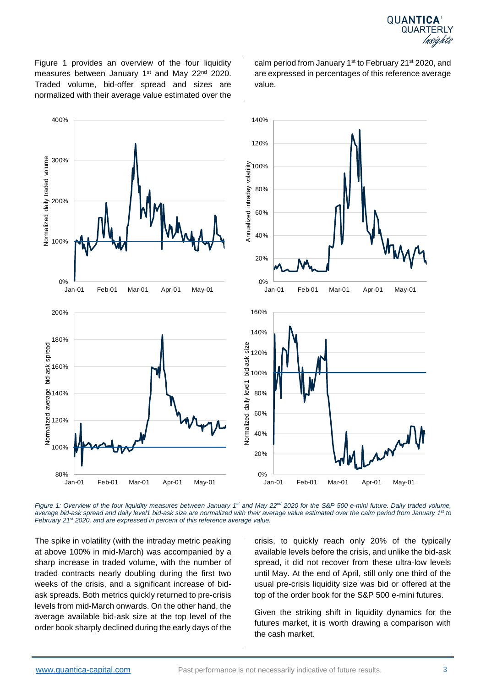calm period from January 1<sup>st</sup> to February 21<sup>st</sup> 2020, and are expressed in percentages of this reference average

Figure 1 provides an overview of the four liquidity measures between January 1<sup>st</sup> and May 22<sup>nd</sup> 2020. Traded volume, bid-offer spread and sizes are normalized with their average value estimated over the

> 140% 120% Annualized intraday volatility 100% 80% 60% 40% 20% 0% Jan-01 Feb-01 Mar-01 Apr-01 May-01 160% 140% Normalized daily level1 bid-ask size Normalized daily level1 bid-ask size120% 100% 80% 60% 40% 20% 0%

*Figure 1: Overview of the four liquidity measures between January 1st and May 22nd 2020 for the S&P 500 e-mini future. Daily traded volume, average bid-ask spread and daily level1 bid-ask size are normalized with their average value estimated over the calm period from January 1st to February 21st 2020, and are expressed in percent of this reference average value.*

The spike in volatility (with the intraday metric peaking at above 100% in mid-March) was accompanied by a sharp increase in traded volume, with the number of traded contracts nearly doubling during the first two weeks of the crisis, and a significant increase of bidask spreads. Both metrics quickly returned to pre-crisis levels from mid-March onwards. On the other hand, the average available bid-ask size at the top level of the order book sharply declined during the early days of the

crisis, to quickly reach only 20% of the typically available levels before the crisis, and unlike the bid-ask spread, it did not recover from these ultra-low levels until May. At the end of April, still only one third of the usual pre-crisis liquidity size was bid or offered at the top of the order book for the S&P 500 e-mini futures.

Given the striking shift in liquidity dynamics for the futures market, it is worth drawing a comparison with the cash market.

0%

80%

100%

120%

140%

Normalized average bid-ask spread

bid-ask spread

160%

180%

200%

100%

200%

Normalized daily traded volume

domalized daily traded volume

300%

400%



value.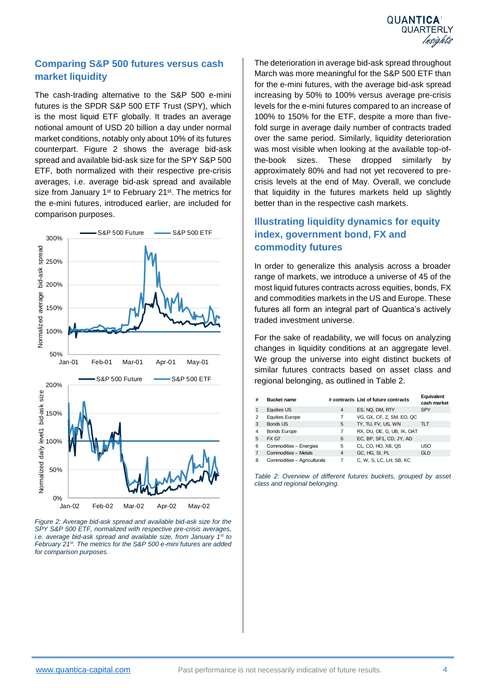

#### **Comparing S&P 500 futures versus cash market liquidity**

The cash-trading alternative to the S&P 500 e-mini futures is the [SPDR S&P 500 ETF Trust \(SPY\),](https://www.etf.com/SPY) which is the most liquid ETF globally. It trades an average notional amount of USD 20 billion a day under normal market conditions, notably only about 10% of its futures counterpart. Figure 2 shows the average bid-ask spread and available bid-ask size for the SPY S&P 500 ETF, both normalized with their respective pre-crisis averages, i.e. average bid-ask spread and available size from January 1<sup>st</sup> to February 21<sup>st</sup>. The metrics for the e-mini futures, introduced earlier, are included for comparison purposes.



*Figure 2: Average bid-ask spread and available bid-ask size for the SPY S&P 500 ETF, normalized with respective pre-crisis averages, i.e. average bid-ask spread and available size, from January 1st to February 21 st. The metrics for the S&P 500 e-mini futures are added for comparison purposes.*

The deterioration in average bid-ask spread throughout March was more meaningful for the S&P 500 ETF than for the e-mini futures, with the average bid-ask spread increasing by 50% to 100% versus average pre-crisis levels for the e-mini futures compared to an increase of 100% to 150% for the ETF, despite a more than fivefold surge in average daily number of contracts traded over the same period. Similarly, liquidity deterioration was most visible when looking at the available top-ofthe-book sizes. These dropped similarly by approximately 80% and had not yet recovered to precrisis levels at the end of May. Overall, we conclude that liquidity in the futures markets held up slightly better than in the respective cash markets.

### **Illustrating liquidity dynamics for equity index, government bond, FX and commodity futures**

In order to generalize this analysis across a broader range of markets, we introduce a universe of 45 of the most liquid futures contracts across equities, bonds, FX and commodities markets in the US and Europe. These futures all form an integral part of Quantica's actively traded investment universe.

For the sake of readability, we will focus on analyzing changes in liquidity conditions at an aggregate level. We group the universe into eight distinct buckets of similar futures contracts based on asset class and regional belonging, as outlined in Table 2.

| # | <b>Bucket name</b>          |   | # contracts List of future contracts | Equivalent<br>cash market |
|---|-----------------------------|---|--------------------------------------|---------------------------|
|   | Equities US                 | 4 | ES, NQ, DM, RTY                      | <b>SPY</b>                |
| 2 | <b>Equities Europe</b>      | 7 | VG, GX, CF, Z, SM, EO, QC            |                           |
| 3 | <b>Bonds US</b>             | 5 | TY, TU, FV, US, WN                   | TLT.                      |
| 4 | <b>Bonds Europe</b>         | 7 | RX, DU, OE, G, UB, IK, OAT           |                           |
| 5 | FX G7                       | 6 | EC, BP, SF1, CD, JY, AD              |                           |
| 6 | Commodities - Energies      | 5 | CL, CO, HO, XB, QS                   | <b>USO</b>                |
|   | Commodities - Metals        | 4 | GC, HG, SI, PL                       | <b>GLD</b>                |
| 8 | Commodities - Agriculturals | 7 | C, W, S, LC, LH, SB, KC              |                           |

*Table 2: Overview of different futures buckets, grouped by asset class and regional belonging.*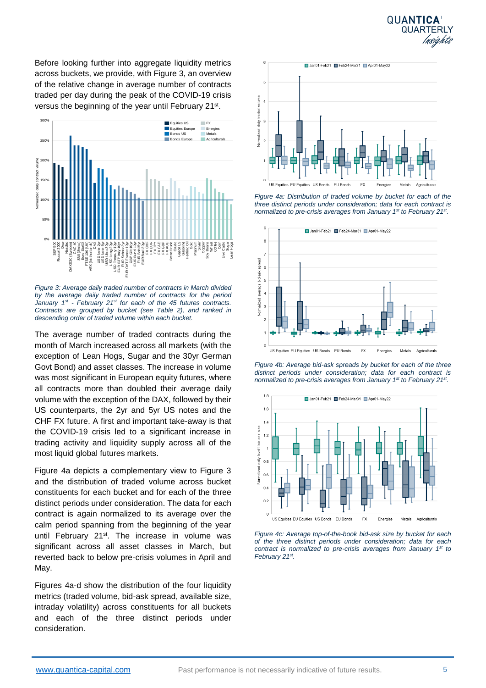

Before looking further into aggregate liquidity metrics across buckets, we provide, with Figure 3, an overview of the relative change in average number of contracts traded per day during the peak of the COVID-19 crisis versus the beginning of the year until February 21<sup>st</sup>.



*Figure 3: Average daily traded number of contracts in March divided by the average daily traded number of contracts for the period January 1st - February 21st for each of the 45 futures contracts. Contracts are grouped by bucket (see Table 2), and ranked in descending order of traded volume within each bucket.* 

The average number of traded contracts during the month of March increased across all markets (with the exception of Lean Hogs, Sugar and the 30yr German Govt Bond) and asset classes. The increase in volume was most significant in European equity futures, where all contracts more than doubled their average daily volume with the exception of the DAX, followed by their US counterparts, the 2yr and 5yr US notes and the CHF FX future. A first and important take-away is that the COVID-19 crisis led to a significant increase in trading activity and liquidity supply across all of the most liquid global futures markets.

Figure 4a depicts a complementary view to Figure 3 and the distribution of traded volume across bucket constituents for each bucket and for each of the three distinct periods under consideration. The data for each contract is again normalized to its average over the calm period spanning from the beginning of the year until February 21<sup>st</sup>. The increase in volume was significant across all asset classes in March, but reverted back to below pre-crisis volumes in April and May.

Figures 4a-d show the distribution of the four liquidity metrics (traded volume, bid-ask spread, available size, intraday volatility) across constituents for all buckets and each of the three distinct periods under consideration.



*Figure 4a: Distribution of traded volume by bucket for each of the three distinct periods under consideration; data for each contract is normalized to pre-crisis averages from January 1st to February 21st .*



*Figure 4b: Average bid-ask spreads by bucket for each of the three distinct periods under consideration; data for each contract is normalized to pre-crisis averages from January 1st to February 21st .*



*Figure 4c: Average top-of-the-book bid-ask size by bucket for each of the three distinct periods under consideration; data for each contract is normalized to pre-crisis averages from January 1st to February 21st .*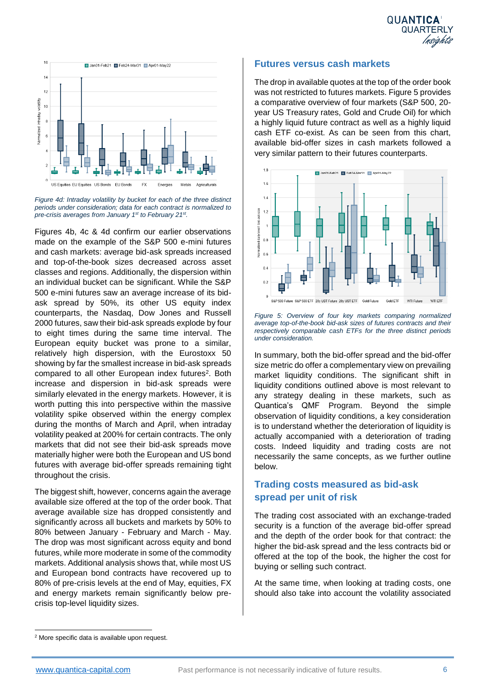

*Figure 4d: Intraday volatility by bucket for each of the three distinct periods under consideration; data for each contract is normalized to pre-crisis averages from January 1st to February 21st .*

Figures 4b, 4c & 4d confirm our earlier observations made on the example of the S&P 500 e-mini futures and cash markets: average bid-ask spreads increased and top-of-the-book sizes decreased across asset classes and regions. Additionally, the dispersion within an individual bucket can be significant. While the S&P 500 e-mini futures saw an average increase of its bidask spread by 50%, its other US equity index counterparts, the Nasdaq, Dow Jones and Russell 2000 futures, saw their bid-ask spreads explode by four to eight times during the same time interval. The European equity bucket was prone to a similar, relatively high dispersion, with the Eurostoxx 50 showing by far the smallest increase in bid-ask spreads compared to all other European index futures<sup>2</sup>. Both increase and dispersion in bid-ask spreads were similarly elevated in the energy markets. However, it is worth putting this into perspective within the massive volatility spike observed within the energy complex during the months of March and April, when intraday volatility peaked at 200% for certain contracts. The only markets that did not see their bid-ask spreads move materially higher were both the European and US bond futures with average bid-offer spreads remaining tight throughout the crisis.

The biggest shift, however, concerns again the average available size offered at the top of the order book. That average available size has dropped consistently and significantly across all buckets and markets by 50% to 80% between January - February and March - May. The drop was most significant across equity and bond futures, while more moderate in some of the commodity markets. Additional analysis shows that, while most US and European bond contracts have recovered up to 80% of pre-crisis levels at the end of May, equities, FX and energy markets remain significantly below precrisis top-level liquidity sizes.

#### **Futures versus cash markets**

The drop in available quotes at the top of the order book was not restricted to futures markets. Figure 5 provides a comparative overview of four markets (S&P 500, 20 year US Treasury rates, Gold and Crude Oil) for which a highly liquid future contract as well as a highly liquid cash ETF co-exist. As can be seen from this chart, available bid-offer sizes in cash markets followed a very similar pattern to their futures counterparts.



*Figure 5: Overview of four key markets comparing normalized average top-of-the-book bid-ask sizes of futures contracts and their respectively comparable cash ETFs for the three distinct periods under consideration.* 

In summary, both the bid-offer spread and the bid-offer size metric do offer a complementary view on prevailing market liquidity conditions. The significant shift in liquidity conditions outlined above is most relevant to any strategy dealing in these markets, such as Quantica's QMF Program. Beyond the simple observation of liquidity conditions, a key consideration is to understand whether the deterioration of liquidity is actually accompanied with a deterioration of trading costs. Indeed liquidity and trading costs are not necessarily the same concepts, as we further outline below.

#### **Trading costs measured as bid-ask spread per unit of risk**

The trading cost associated with an exchange-traded security is a function of the average bid-offer spread and the depth of the order book for that contract: the higher the bid-ask spread and the less contracts bid or offered at the top of the book, the higher the cost for buying or selling such contract.

At the same time, when looking at trading costs, one should also take into account the volatility associated

 $\overline{a}$ <sup>2</sup> More specific data is available upon request.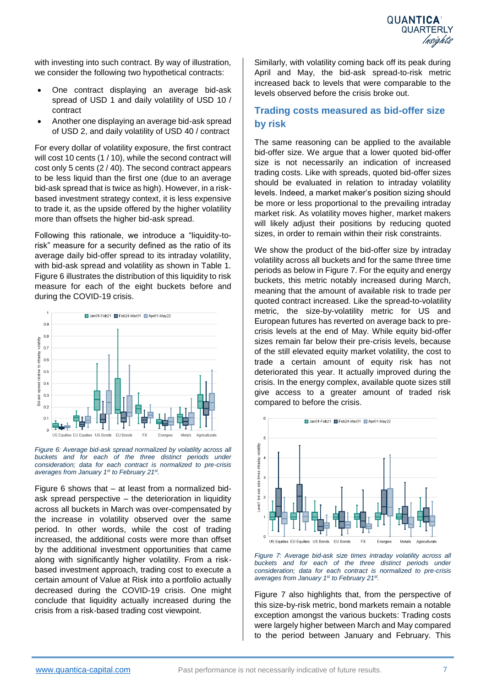with investing into such contract. By way of illustration, we consider the following two hypothetical contracts:

- One contract displaying an average bid-ask spread of USD 1 and daily volatility of USD 10 / contract
- Another one displaying an average bid-ask spread of USD 2, and daily volatility of USD 40 / contract

For every dollar of volatility exposure, the first contract will cost 10 cents (1/10), while the second contract will cost only 5 cents (2 / 40). The second contract appears to be less liquid than the first one (due to an average bid-ask spread that is twice as high). However, in a riskbased investment strategy context, it is less expensive to trade it, as the upside offered by the higher volatility more than offsets the higher bid-ask spread.

Following this rationale, we introduce a "liquidity-torisk" measure for a security defined as the ratio of its average daily bid-offer spread to its intraday volatility, with bid-ask spread and volatility as shown in Table 1. Figure 6 illustrates the distribution of this liquidity to risk measure for each of the eight buckets before and during the COVID-19 crisis.



*Figure 6: Average bid-ask spread normalized by volatility across all buckets and for each of the three distinct periods under consideration; data for each contract is normalized to pre-crisis averages from January 1st to February 21st .* 

Figure 6 shows that – at least from a normalized bidask spread perspective – the deterioration in liquidity across all buckets in March was over-compensated by the increase in volatility observed over the same period. In other words, while the cost of trading increased, the additional costs were more than offset by the additional investment opportunities that came along with significantly higher volatility. From a riskbased investment approach, trading cost to execute a certain amount of Value at Risk into a portfolio actually decreased during the COVID-19 crisis. One might conclude that liquidity actually increased during the crisis from a risk-based trading cost viewpoint.

Similarly, with volatility coming back off its peak during April and May, the bid-ask spread-to-risk metric increased back to levels that were comparable to the levels observed before the crisis broke out.

#### **Trading costs measured as bid-offer size by risk**

The same reasoning can be applied to the available bid-offer size. We argue that a lower quoted bid-offer size is not necessarily an indication of increased trading costs. Like with spreads, quoted bid-offer sizes should be evaluated in relation to intraday volatility levels. Indeed, a market maker's position sizing should be more or less proportional to the prevailing intraday market risk. As volatility moves higher, market makers will likely adjust their positions by reducing quoted sizes, in order to remain within their risk constraints.

We show the product of the bid-offer size by intraday volatility across all buckets and for the same three time periods as below in Figure 7. For the equity and energy buckets, this metric notably increased during March, meaning that the amount of available risk to trade per quoted contract increased. Like the spread-to-volatility metric, the size-by-volatility metric for US and European futures has reverted on average back to precrisis levels at the end of May. While equity bid-offer sizes remain far below their pre-crisis levels, because of the still elevated equity market volatility, the cost to trade a certain amount of equity risk has not deteriorated this year. It actually improved during the crisis. In the energy complex, available quote sizes still give access to a greater amount of traded risk compared to before the crisis.



*Figure 7: Average bid-ask size times intraday volatility across all buckets and for each of the three distinct periods under consideration; data for each contract is normalized to pre-crisis averages from January 1st to February 21st .*

Figure 7 also highlights that, from the perspective of this size-by-risk metric, bond markets remain a notable exception amongst the various buckets: Trading costs were largely higher between March and May compared to the period between January and February. This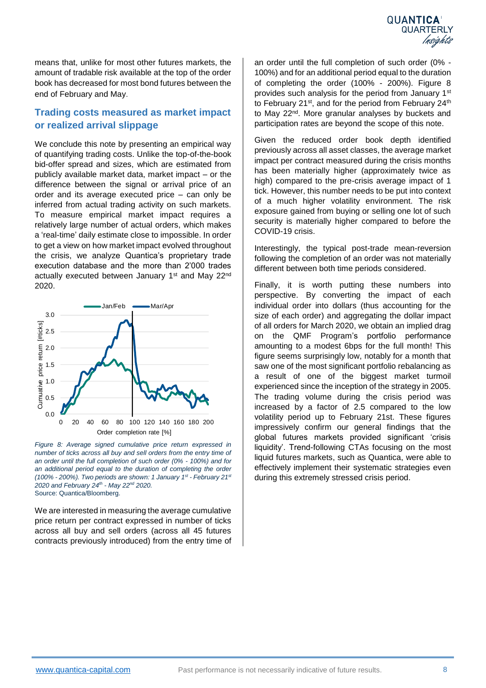means that, unlike for most other futures markets, the amount of tradable risk available at the top of the order book has decreased for most bond futures between the end of February and May.

#### **Trading costs measured as market impact or realized arrival slippage**

We conclude this note by presenting an empirical way of quantifying trading costs. Unlike the top-of-the-book bid-offer spread and sizes, which are estimated from publicly available market data, market impact – or the difference between the signal or arrival price of an order and its average executed price – can only be inferred from actual trading activity on such markets. To measure empirical market impact requires a relatively large number of actual orders, which makes a 'real-time' daily estimate close to impossible. In order to get a view on how market impact evolved throughout the crisis, we analyze Quantica's proprietary trade execution database and the more than 2'000 trades actually executed between January 1<sup>st</sup> and May 22<sup>nd</sup> 2020.



*Figure 8: Average signed cumulative price return expressed in number of ticks across all buy and sell orders from the entry time of an order until the full completion of such order (0% - 100%) and for an additional period equal to the duration of completing the order (100% - 200%). Two periods are shown: 1 January 1st - February 21st 2020 and February 24th - May 22nd 2020.*  Source: Quantica/Bloomberg.

We are interested in measuring the average cumulative price return per contract expressed in number of ticks across all buy and sell orders (across all 45 futures contracts previously introduced) from the entry time of an order until the full completion of such order (0% - 100%) and for an additional period equal to the duration of completing the order (100% - 200%). Figure 8 provides such analysis for the period from January 1st to February 21<sup>st</sup>, and for the period from February 24<sup>th</sup> to May 22<sup>nd</sup>. More granular analyses by buckets and participation rates are beyond the scope of this note.

Given the reduced order book depth identified previously across all asset classes, the average market impact per contract measured during the crisis months has been materially higher (approximately twice as high) compared to the pre-crisis average impact of 1 tick. However, this number needs to be put into context of a much higher volatility environment. The risk exposure gained from buying or selling one lot of such security is materially higher compared to before the COVID-19 crisis.

Interestingly, the typical post-trade mean-reversion following the completion of an order was not materially different between both time periods considered.

Finally, it is worth putting these numbers into perspective. By converting the impact of each individual order into dollars (thus accounting for the size of each order) and aggregating the dollar impact of all orders for March 2020, we obtain an implied drag on the QMF Program's portfolio performance amounting to a modest 6bps for the full month! This figure seems surprisingly low, notably for a month that saw one of the most significant portfolio rebalancing as a result of one of the biggest market turmoil experienced since the inception of the strategy in 2005. The trading volume during the crisis period was increased by a factor of 2.5 compared to the low volatility period up to February 21st. These figures impressively confirm our general findings that the global futures markets provided significant 'crisis liquidity'. Trend-following CTAs focusing on the most liquid futures markets, such as Quantica, were able to effectively implement their systematic strategies even during this extremely stressed crisis period.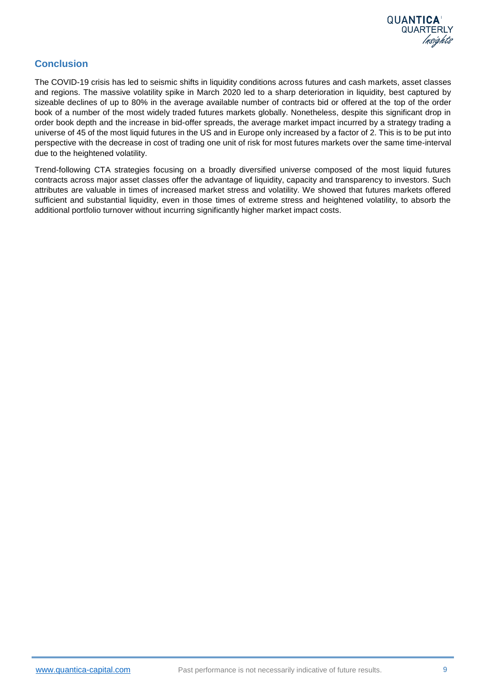

#### **Conclusion**

The COVID-19 crisis has led to seismic shifts in liquidity conditions across futures and cash markets, asset classes and regions. The massive volatility spike in March 2020 led to a sharp deterioration in liquidity, best captured by sizeable declines of up to 80% in the average available number of contracts bid or offered at the top of the order book of a number of the most widely traded futures markets globally. Nonetheless, despite this significant drop in order book depth and the increase in bid-offer spreads, the average market impact incurred by a strategy trading a universe of 45 of the most liquid futures in the US and in Europe only increased by a factor of 2. This is to be put into perspective with the decrease in cost of trading one unit of risk for most futures markets over the same time-interval due to the heightened volatility.

Trend-following CTA strategies focusing on a broadly diversified universe composed of the most liquid futures contracts across major asset classes offer the advantage of liquidity, capacity and transparency to investors. Such attributes are valuable in times of increased market stress and volatility. We showed that futures markets offered sufficient and substantial liquidity, even in those times of extreme stress and heightened volatility, to absorb the additional portfolio turnover without incurring significantly higher market impact costs.